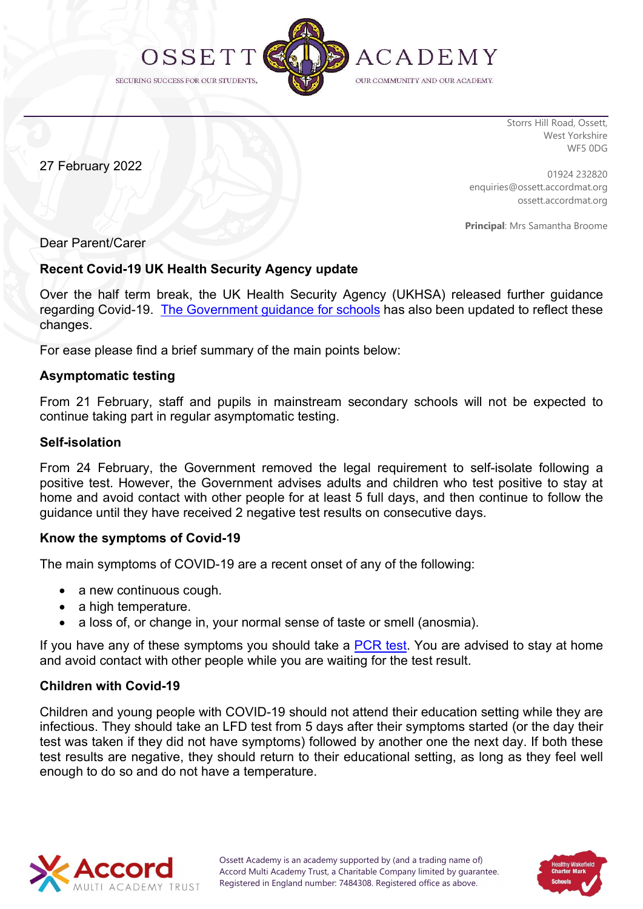

Storrs Hill Road, Ossett, West Yorkshire WF5 0DG

27 February 2022

01924 232820 enquiries@ossett.accordmat.org ossett.accordmat.org

Principal: Mrs Samantha Broome

## Dear Parent/Carer

## Recent Covid-19 UK Health Security Agency update

Over the half term break, the UK Health Security Agency (UKHSA) released further guidance regarding Covid-19. The Government guidance for schools has also been updated to reflect these changes.

For ease please find a brief summary of the main points below:

## Asymptomatic testing

From 21 February, staff and pupils in mainstream secondary schools will not be expected to continue taking part in regular asymptomatic testing.

## Self-isolation

From 24 February, the Government removed the legal requirement to self-isolate following a positive test. However, the Government advises adults and children who test positive to stay at home and avoid contact with other people for at least 5 full days, and then continue to follow the guidance until they have received 2 negative test results on consecutive days.

## Know the symptoms of Covid-19

The main symptoms of COVID-19 are a recent onset of any of the following:

- a new continuous cough.
- a high temperature.
- a loss of, or change in, your normal sense of taste or smell (anosmia).

If you have any of these symptoms you should take a PCR test. You are advised to stay at home and avoid contact with other people while you are waiting for the test result.

## Children with Covid-19

Children and young people with COVID-19 should not attend their education setting while they are infectious. They should take an LFD test from 5 days after their symptoms started (or the day their test was taken if they did not have symptoms) followed by another one the next day. If both these test results are negative, they should return to their educational setting, as long as they feel well enough to do so and do not have a temperature.